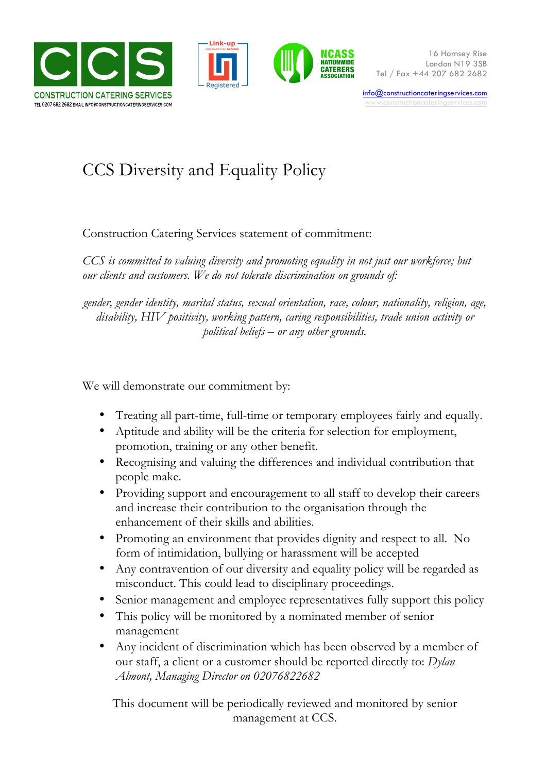





info@constructioncateringservices.com www.constructioncaterinaservices.com

## CCS Diversity and Equality Policy

Construction Catering Services statement of commitment:

*CCS is committed to valuing diversity and promoting equality in not just our workforce; but our clients and customers. We do not tolerate discrimination on grounds of:*

*gender, gender identity, marital status, sexual orientation, race, colour, nationality, religion, age, disability, HIV positivity, working pattern, caring responsibilities, trade union activity or political beliefs – or any other grounds.*

We will demonstrate our commitment by:

- Treating all part-time, full-time or temporary employees fairly and equally.
- Aptitude and ability will be the criteria for selection for employment, promotion, training or any other benefit.
- Recognising and valuing the differences and individual contribution that people make.
- Providing support and encouragement to all staff to develop their careers and increase their contribution to the organisation through the enhancement of their skills and abilities.
- Promoting an environment that provides dignity and respect to all. No form of intimidation, bullying or harassment will be accepted
- Any contravention of our diversity and equality policy will be regarded as misconduct. This could lead to disciplinary proceedings.
- Senior management and employee representatives fully support this policy
- This policy will be monitored by a nominated member of senior management
- Any incident of discrimination which has been observed by a member of our staff, a client or a customer should be reported directly to: *Dylan Almont, Managing Director on 02076822682*

This document will be periodically reviewed and monitored by senior management at CCS.